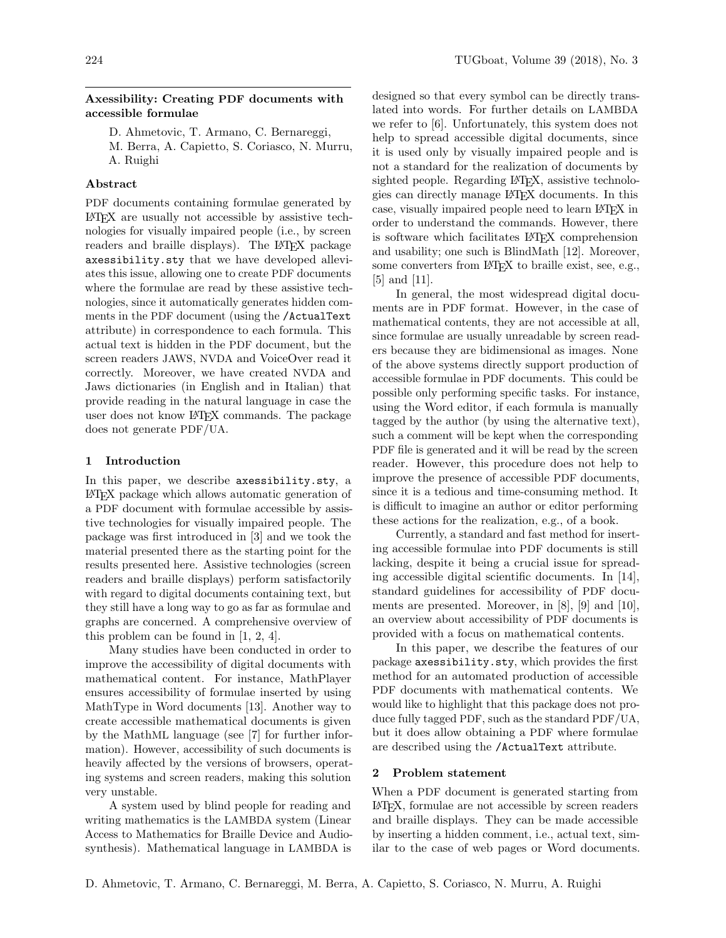### Axessibility: Creating PDF documents with accessible formulae

- D. Ahmetovic, T. Armano, C. Bernareggi,
- M. Berra, A. Capietto, S. Coriasco, N. Murru, A. Ruighi

#### Abstract

PDF documents containing formulae generated by LATEX are usually not accessible by assistive technologies for visually impaired people (i.e., by screen readers and braille displays). The LATEX package axessibility.sty that we have developed alleviates this issue, allowing one to create PDF documents where the formulae are read by these assistive technologies, since it automatically generates hidden comments in the PDF document (using the /ActualText attribute) in correspondence to each formula. This actual text is hidden in the PDF document, but the screen readers JAWS, NVDA and VoiceOver read it correctly. Moreover, we have created NVDA and Jaws dictionaries (in English and in Italian) that provide reading in the natural language in case the user does not know LATEX commands. The package does not generate PDF/UA.

### 1 Introduction

In this paper, we describe axessibility.sty, a LATEX package which allows automatic generation of a PDF document with formulae accessible by assistive technologies for visually impaired people. The package was first introduced in [\[3\]](#page-3-0) and we took the material presented there as the starting point for the results presented here. Assistive technologies (screen readers and braille displays) perform satisfactorily with regard to digital documents containing text, but they still have a long way to go as far as formulae and graphs are concerned. A comprehensive overview of this problem can be found in [\[1,](#page-3-1) [2,](#page-3-2) [4\]](#page-3-3).

Many studies have been conducted in order to improve the accessibility of digital documents with mathematical content. For instance, MathPlayer ensures accessibility of formulae inserted by using MathType in Word documents [\[13\]](#page-3-4). Another way to create accessible mathematical documents is given by the MathML language (see [\[7\]](#page-3-5) for further information). However, accessibility of such documents is heavily affected by the versions of browsers, operating systems and screen readers, making this solution very unstable.

A system used by blind people for reading and writing mathematics is the LAMBDA system (Linear Access to Mathematics for Braille Device and Audiosynthesis). Mathematical language in LAMBDA is

designed so that every symbol can be directly translated into words. For further details on LAMBDA we refer to [\[6\]](#page-3-6). Unfortunately, this system does not help to spread accessible digital documents, since it is used only by visually impaired people and is not a standard for the realization of documents by sighted people. Regarding LAT<sub>EX</sub>, assistive technologies can directly manage LATEX documents. In this case, visually impaired people need to learn LAT<sub>EX</sub> in order to understand the commands. However, there is software which facilitates LATEX comprehension and usability; one such is BlindMath [\[12\]](#page-3-7). Moreover, some converters from LAT<sub>EX</sub> to braille exist, see, e.g., [\[5\]](#page-3-8) and [\[11\]](#page-3-9).

In general, the most widespread digital documents are in PDF format. However, in the case of mathematical contents, they are not accessible at all, since formulae are usually unreadable by screen readers because they are bidimensional as images. None of the above systems directly support production of accessible formulae in PDF documents. This could be possible only performing specific tasks. For instance, using the Word editor, if each formula is manually tagged by the author (by using the alternative text), such a comment will be kept when the corresponding PDF file is generated and it will be read by the screen reader. However, this procedure does not help to improve the presence of accessible PDF documents, since it is a tedious and time-consuming method. It is difficult to imagine an author or editor performing these actions for the realization, e.g., of a book.

Currently, a standard and fast method for inserting accessible formulae into PDF documents is still lacking, despite it being a crucial issue for spreading accessible digital scientific documents. In [\[14\]](#page-3-10), standard guidelines for accessibility of PDF documents are presented. Moreover, in [\[8\]](#page-3-11), [\[9\]](#page-3-12) and [\[10\]](#page-3-13), an overview about accessibility of PDF documents is provided with a focus on mathematical contents.

In this paper, we describe the features of our package axessibility.sty, which provides the first method for an automated production of accessible PDF documents with mathematical contents. We would like to highlight that this package does not produce fully tagged PDF, such as the standard PDF/UA, but it does allow obtaining a PDF where formulae are described using the /ActualText attribute.

#### 2 Problem statement

When a PDF document is generated starting from LATEX, formulae are not accessible by screen readers and braille displays. They can be made accessible by inserting a hidden comment, i.e., actual text, similar to the case of web pages or Word documents.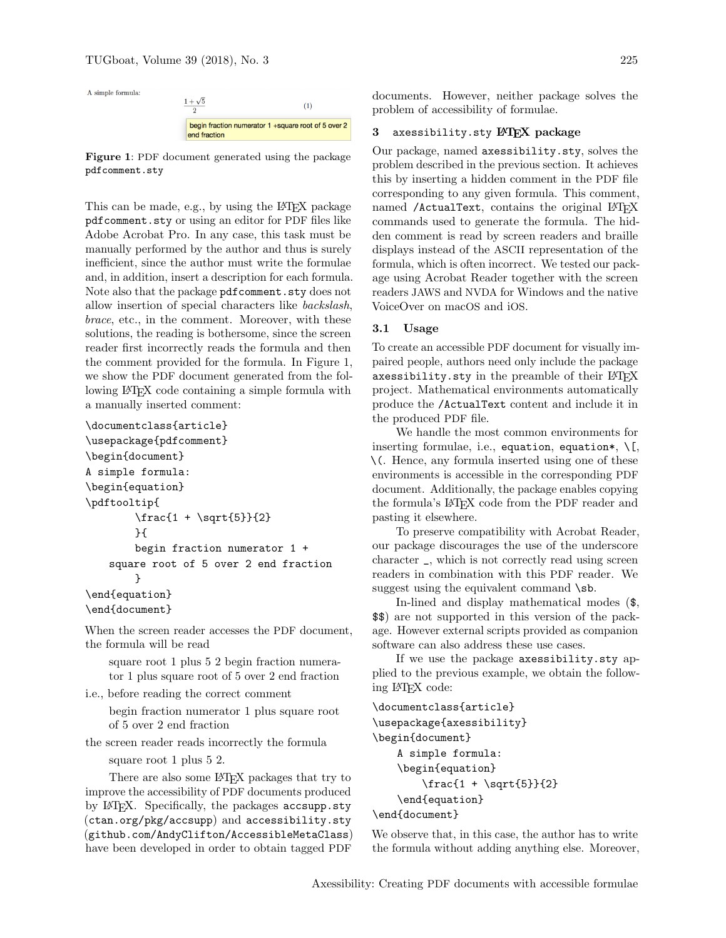A simple formula:



<span id="page-1-0"></span>Figure 1: PDF document generated using the package pdfcomment.sty

This can be made, e.g., by using the LATEX package pdfcomment.sty or using an editor for PDF files like Adobe Acrobat Pro. In any case, this task must be manually performed by the author and thus is surely inefficient, since the author must write the formulae and, in addition, insert a description for each formula. Note also that the package pdfcomment.sty does not allow insertion of special characters like backslash, brace, etc., in the comment. Moreover, with these solutions, the reading is bothersome, since the screen reader first incorrectly reads the formula and then the comment provided for the formula. In Figure [1,](#page-1-0) we show the PDF document generated from the following LATEX code containing a simple formula with a manually inserted comment:

```
\documentclass{article}
```

```
\usepackage{pdfcomment}
\begin{document}
A simple formula:
\begin{equation}
\pdftooltip{
        \frac{1 + \sqrt{5}}{2}}{
        begin fraction numerator 1 +
    square root of 5 over 2 end fraction
        }
\end{equation}
\end{document}
```
When the screen reader accesses the PDF document, the formula will be read

square root 1 plus 5 2 begin fraction numerator 1 plus square root of 5 over 2 end fraction

i.e., before reading the correct comment

begin fraction numerator 1 plus square root of 5 over 2 end fraction

the screen reader reads incorrectly the formula

square root 1 plus 5 2.

There are also some LAT<sub>F</sub>X packages that try to improve the accessibility of PDF documents produced by LATEX. Specifically, the packages accsupp.sty (<ctan.org/pkg/accsupp>) and accessibility.sty (<github.com/AndyClifton/AccessibleMetaClass>) have been developed in order to obtain tagged PDF

documents. However, neither package solves the problem of accessibility of formulae.

### 3 axessibility.sty LATEX package

Our package, named axessibility.sty, solves the problem described in the previous section. It achieves this by inserting a hidden comment in the PDF file corresponding to any given formula. This comment, named /ActualText, contains the original LATEX commands used to generate the formula. The hidden comment is read by screen readers and braille displays instead of the ASCII representation of the formula, which is often incorrect. We tested our package using Acrobat Reader together with the screen readers JAWS and NVDA for Windows and the native VoiceOver on macOS and iOS.

## 3.1 Usage

To create an accessible PDF document for visually impaired people, authors need only include the package axessibility.sty in the preamble of their  $L^4T_FX$ project. Mathematical environments automatically produce the /ActualText content and include it in the produced PDF file.

We handle the most common environments for inserting formulae, i.e., equation, equation\*,  $\[\cdot\]$ , \(. Hence, any formula inserted using one of these environments is accessible in the corresponding PDF document. Additionally, the package enables copying the formula's LATEX code from the PDF reader and pasting it elsewhere.

To preserve compatibility with Acrobat Reader, our package discourages the use of the underscore character \_, which is not correctly read using screen readers in combination with this PDF reader. We suggest using the equivalent command  $\s$ .

In-lined and display mathematical modes (\$, \$\$) are not supported in this version of the package. However external scripts provided as companion software can also address these use cases.

If we use the package axessibility.sty applied to the previous example, we obtain the following LATEX code:

```
\documentclass{article}
\usepackage{axessibility}
\begin{document}
    A simple formula:
    \begin{equation}
        \frac{1 + \sqrt{5}}{2}\end{equation}
\end{document}
```
We observe that, in this case, the author has to write the formula without adding anything else. Moreover,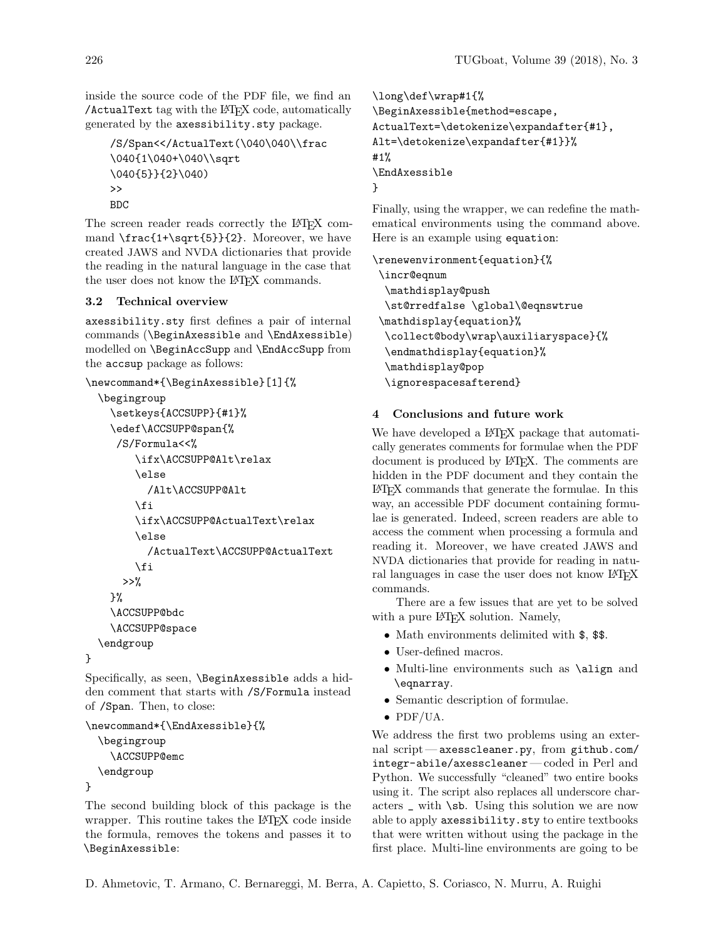inside the source code of the PDF file, we find an /ActualText tag with the LATEX code, automatically generated by the axessibility.sty package.

```
/S/Span<</ActualText(\040\040\\frac
\040{1\040+\040\\sqrt
\040{5}}{2}\040)
\rightarrowBDC
```
The screen reader reads correctly the LAT<sub>EX</sub> command \frac{1+\sqrt{5}}{2}. Moreover, we have created JAWS and NVDA dictionaries that provide the reading in the natural language in the case that the user does not know the L<sup>AT</sup>EX commands.

## 3.2 Technical overview

axessibility.sty first defines a pair of internal commands (\BeginAxessible and \EndAxessible) modelled on \BeginAccSupp and \EndAccSupp from the accsup package as follows:

```
\newcommand*{\BeginAxessible}[1]{%
```

```
\begingroup
  \setkeys{ACCSUPP}{#1}%
  \edef\ACCSUPP@span{%
   /S/Formula<<%
      \ifx\ACCSUPP@Alt\relax
      \else
        /Alt\ACCSUPP@Alt
      \eta\ifx\ACCSUPP@ActualText\relax
      \else
        /ActualText\ACCSUPP@ActualText
      \fi
    >>\%}%
  \ACCSUPP@bdc
  \ACCSUPP@space
\endgroup
```
Specifically, as seen, \BeginAxessible adds a hidden comment that starts with /S/Formula instead of /Span. Then, to close:

```
\newcommand*{\EndAxessible}{%
  \begingroup
    \ACCSUPP@emc
  \endgroup
}
```
}

The second building block of this package is the wrapper. This routine takes the LATEX code inside the formula, removes the tokens and passes it to \BeginAxessible:

```
\long\def\wrap#1{%
\BeginAxessible{method=escape,
ActualText=\detokenize\expandafter{#1},
Alt=\detokenize\expandafter{#1}}%
#1%
\EndAxessible
}
```
Finally, using the wrapper, we can redefine the mathematical environments using the command above. Here is an example using equation:

\renewenvironment{equation}{% \incr@eqnum \mathdisplay@push \st@rredfalse \global\@eqnswtrue \mathdisplay{equation}% \collect@body\wrap\auxiliaryspace}{% \endmathdisplay{equation}% \mathdisplay@pop \ignorespacesafterend}

# 4 Conclusions and future work

We have developed a L<sup>AT</sup>EX package that automatically generates comments for formulae when the PDF document is produced by LAT<sub>EX</sub>. The comments are hidden in the PDF document and they contain the LATEX commands that generate the formulae. In this way, an accessible PDF document containing formulae is generated. Indeed, screen readers are able to access the comment when processing a formula and reading it. Moreover, we have created JAWS and NVDA dictionaries that provide for reading in natural languages in case the user does not know LAT<sub>EX</sub> commands.

There are a few issues that are yet to be solved with a pure L<sup>AT</sup>EX solution. Namely,

- Math environments delimited with  $\$ , \
- User-defined macros.
- Multi-line environments such as \align and \eqnarray.
- Semantic description of formulae.
- PDF/UA.

We address the first two problems using an external script— axesscleaner.py, from [github.com/](github.com/integr-abile/axesscleaner) [integr-abile/axesscleaner](github.com/integr-abile/axesscleaner)— coded in Perl and Python. We successfully "cleaned" two entire books using it. The script also replaces all underscore characters \_ with \sb. Using this solution we are now able to apply axessibility.sty to entire textbooks that were written without using the package in the first place. Multi-line environments are going to be